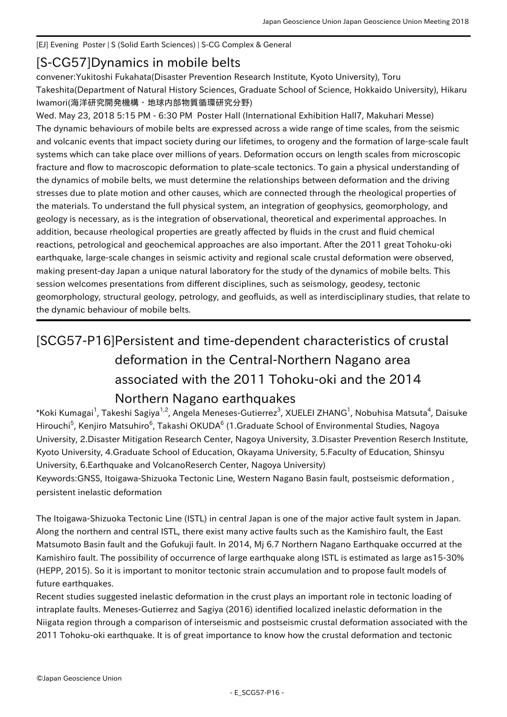## [EJ] Evening Poster | S (Solid Earth Sciences) | S-CG Complex & General

## [S-CG57] Dynamics in mobile belts

convener:Yukitoshi Fukahata(Disaster Prevention Research Institute, Kyoto University), Toru Takeshita(Department of Natural History Sciences, Graduate School of Science, Hokkaido University), Hikaru Iwamori(海洋研究開発機構・地球内部物質循環研究分野)

Wed. May 23, 2018 5:15 PM - 6:30 PM Poster Hall (International Exhibition Hall7, Makuhari Messe) The dynamic behaviours of mobile belts are expressed across a wide range of time scales, from the seismic and volcanic events that impact society during our lifetimes, to orogeny and the formation of large-scale fault systems which can take place over millions of years. Deformation occurs on length scales from microscopic fracture and flow to macroscopic deformation to plate-scale tectonics. To gain a physical understanding of the dynamics of mobile belts, we must determine the relationships between deformation and the driving stresses due to plate motion and other causes, which are connected through the rheological properties of the materials. To understand the full physical system, an integration of geophysics, geomorphology, and geology is necessary, as is the integration of observational, theoretical and experimental approaches. In addition, because rheological properties are greatly affected by fluids in the crust and fluid chemical reactions, petrological and geochemical approaches are also important. After the 2011 great Tohoku-oki earthquake, large-scale changes in seismic activity and regional scale crustal deformation were observed, making present-day Japan a unique natural laboratory for the study of the dynamics of mobile belts. This session welcomes presentations from different disciplines, such as seismology, geodesy, tectonic geomorphology, structural geology, petrology, and geofluids, as well as interdisciplinary studies, that relate to the dynamic behaviour of mobile belts.

## [SCG57-P16] Persistent and time-dependent characteristics of crustal deformation in the Central-Northern Nagano area associated with the 2011 Tohoku-oki and the 2014 Northern Nagano earthquakes

 $^*$ Koki Kumagai $^1$ , Takeshi Sagiya $^{1,2}$ , Angela Meneses-Gutierrez $^3$ , XUELEI ZHANG $^1$ , Nobuhisa Matsuta $^4$ , Daisuke Hirouchi<sup>5</sup>, Kenjiro Matsuhiro<sup>6</sup>, Takashi OKUDA<sup>6</sup> (1.Graduate School of Environmental Studies, Nagoya University, 2.Disaster Mitigation Research Center, Nagoya University, 3.Disaster Prevention Reserch Institute, Kyoto University, 4.Graduate School of Education, Okayama University, 5.Faculty of Education, Shinsyu University, 6.Earthquake and VolcanoReserch Center, Nagoya University) Keywords:GNSS, Itoigawa-Shizuoka Tectonic Line, Western Nagano Basin fault, postseismic deformation , persistent inelastic deformation

The Itoigawa-Shizuoka Tectonic Line (ISTL) in central Japan is one of the major active fault system in Japan. Along the northern and central ISTL, there exist many active faults such as the Kamishiro fault, the East Matsumoto Basin fault and the Gofukuji fault. In 2014, Mj 6.7 Northern Nagano Earthquake occurred at the Kamishiro fault. The possibility of occurrence of large earthquake along ISTL is estimated as large as15-30% (HEPP, 2015). So it is important to monitor tectonic strain accumulation and to propose fault models of future earthquakes.

Recent studies suggested inelastic deformation in the crust plays an important role in tectonic loading of intraplate faults. Meneses-Gutierrez and Sagiya (2016) identified localized inelastic deformation in the Niigata region through a comparison of interseismic and postseismic crustal deformation associated with the 2011 Tohoku-oki earthquake. It is of great importance to know how the crustal deformation and tectonic